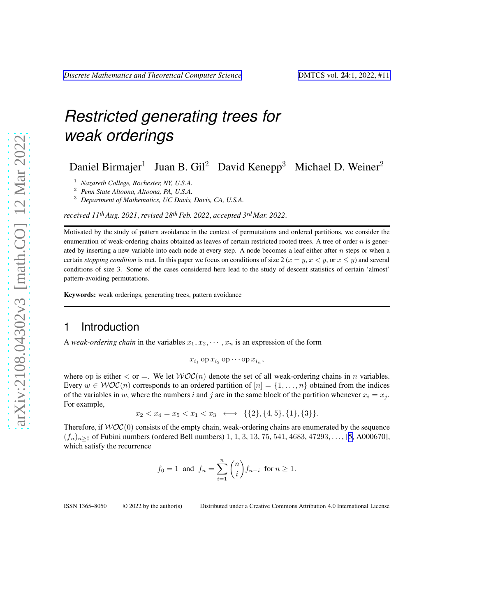Daniel Birmajer<sup>1</sup> Juan B. Gil<sup>2</sup> David Kenepp<sup>3</sup> Michael D. Weiner<sup>2</sup>

<sup>1</sup> *Nazareth College, Rochester, NY, U.S.A.*

<sup>2</sup> *Penn State Altoona, Altoona, PA, U.S.A.*

<sup>3</sup> *Department of Mathematics, UC Davis, Davis, CA, U.S.A.*

*received 11thAug. 2021*, *revised 28thFeb. 2022*, *accepted 3rdMar. 2022*.

Motivated by the study of pattern avoidance in the context of permutations and ordered partitions, we consider the enumeration of weak-ordering chains obtained as leaves of certain restricted rooted trees. A tree of order  $n$  is generated by inserting a new variable into each node at every step. A node becomes a leaf either after  $n$  steps or when a certain *stopping condition* is met. In this paper we focus on conditions of size  $2 (x = y, x \le y)$ , or  $x \le y$ ) and several conditions of size 3. Some of the cases considered here lead to the study of descent statistics of certain 'almost' pattern-avoiding permutations.

Keywords: weak orderings, generating trees, pattern avoidance

### 1 Introduction

A *weak-ordering chain* in the variables  $x_1, x_2, \dots, x_n$  is an expression of the form

$$
x_{i_1} \operatorname{op} x_{i_2} \operatorname{op} \cdots \operatorname{op} x_{i_n},
$$

where op is either  $\langle$  or  $=$ . We let  $WOC(n)$  denote the set of all weak-ordering chains in *n* variables. Every  $w \in \mathcal{WOC}(n)$  corresponds to an ordered partition of  $[n] = \{1, \ldots, n\}$  obtained from the indices of the variables in w, where the numbers i and j are in the same block of the partition whenever  $x_i = x_j$ . For example,

 $x_2 < x_4 = x_5 < x_1 < x_3 \leftrightarrow \{\{2\}, \{4, 5\}, \{1\}, \{3\}\}.$ 

Therefore, if  $WOC(0)$  consists of the empty chain, weak-ordering chains are enumerated by the sequence  $(f_n)_{n>0}$  of Fubini numbers (ordered Bell numbers) 1, 1, 3, 13, 75, 541, 4683, 47293, ..., [\[5,](#page-15-0) A000670], which satisfy the recurrence

$$
f_0 = 1
$$
 and  $f_n = \sum_{i=1}^n {n \choose i} f_{n-i}$  for  $n \ge 1$ .

ISSN 1365–8050 © 2022 by the author(s) Distributed under a Creative Commons Attribution 4.0 International License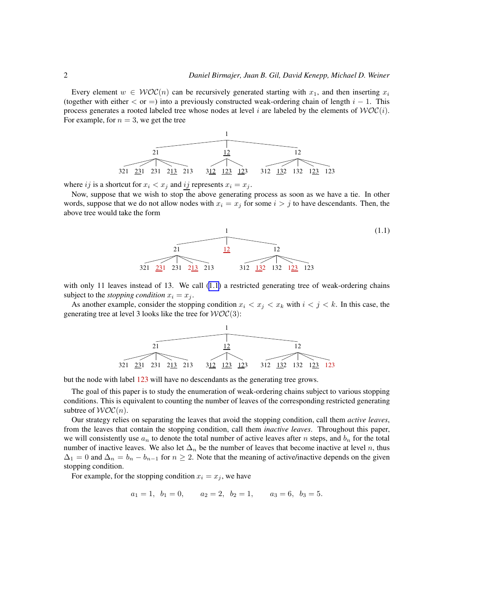<span id="page-1-0"></span>Every element  $w \in \mathcal{WOC}(n)$  can be recursively generated starting with  $x_1$ , and then inserting  $x_i$ (together with either  $\langle$  or =) into a previously constructed weak-ordering chain of length  $i - 1$ . This process generates a rooted labeled tree whose nodes at level i are labeled by the elements of  $WOC(i)$ . For example, for  $n = 3$ , we get the tree



where ij is a shortcut for  $x_i < x_j$  and ij represents  $x_i = x_j$ .

Now, suppose that we wish to stop the above generating process as soon as we have a tie. In other words, suppose that we do not allow nodes with  $x_i = x_j$  for some  $i > j$  to have descendants. Then, the above tree would take the form



with only 11 leaves instead of 13. We call (1.1) a restricted generating tree of weak-ordering chains subject to the *stopping condition*  $x_i = x_j$ .

As another example, consider the stopping condition  $x_i < x_j < x_k$  with  $i < j < k$ . In this case, the generating tree at level 3 looks like the tree for  $WOC(3)$ :



but the node with label 123 will have no descendants as the generating tree grows.

The goal of this paper is to study the enumeration of weak-ordering chains subject to various stopping conditions. This is equivalent to counting the number of leaves of the corresponding restricted generating subtree of  $WOC(n)$ .

Our strategy relies on separating the leaves that avoid the stopping condition, call them *active leaves*, from the leaves that contain the stopping condition, call them *inactive leaves*. Throughout this paper, we will consistently use  $a_n$  to denote the total number of active leaves after n steps, and  $b_n$  for the total number of inactive leaves. We also let  $\Delta_n$  be the number of leaves that become inactive at level n, thus  $\Delta_1 = 0$  and  $\Delta_n = b_n - b_{n-1}$  for  $n \ge 2$ . Note that the meaning of active/inactive depends on the given stopping condition.

For example, for the stopping condition  $x_i = x_j$ , we have

$$
a_1 = 1
$$
,  $b_1 = 0$ ,  $a_2 = 2$ ,  $b_2 = 1$ ,  $a_3 = 6$ ,  $b_3 = 5$ .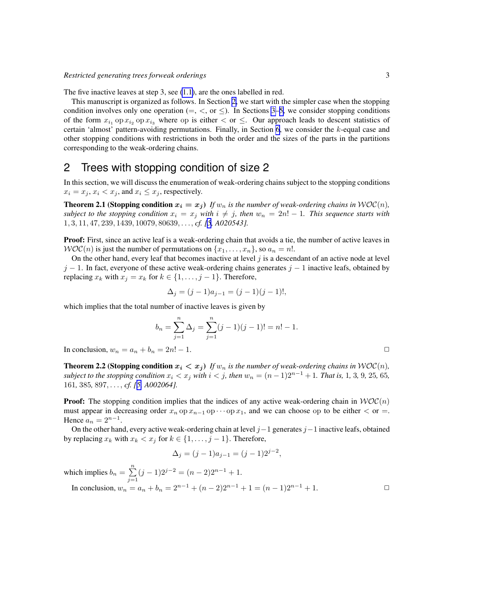The five inactive leaves at step 3, see [\(1.1\)](#page-1-0), are the ones labelled in red.

This manuscript is organized as follows. In Section 2, we start with the simpler case when the stopping condition involves only one operation (=,  $\lt$ , or  $\leq$ ). In Sections [3–](#page-3-0)[5,](#page-9-0) we consider stopping conditions of the form  $x_{i_1}$  op  $x_{i_2}$  op  $x_{i_3}$  where op is either  $\lt$  or  $\leq$ . Our approach leads to descent statistics of certain 'almost' pattern-avoiding permutations. Finally, in Section [6](#page-12-0), we consider the  $k$ -equal case and other stopping conditions with restrictions in both the order and the sizes of the parts in the partitions corresponding to the weak-ordering chains.

### 2 Trees with stopping condition of size 2

In this section, we will discuss the enumeration of weak-ordering chains subject to the stopping conditions  $x_i = x_j$ ,  $x_i < x_j$ , and  $x_i \leq x_j$ , respectively.

**Theorem 2.1 (Stopping condition**  $x_i = x_j$ ) *If*  $w_n$  *is the number of weak-ordering chains in*  $WOC(n)$ *, subject to the stopping condition*  $x_i = x_j$  *with*  $i \neq j$ *, then*  $w_n = 2n! - 1$ *. This sequence starts with* 1, 3, 11, 47, 239, 1439, 10079, 80639, . . ., *cf. [\[5](#page-15-0), A020543].*

Proof: First, since an active leaf is a weak-ordering chain that avoids a tie, the number of active leaves in  $WOC(n)$  is just the number of permutations on  $\{x_1, \ldots, x_n\}$ , so  $a_n = n!$ .

On the other hand, every leaf that becomes inactive at level  $j$  is a descendant of an active node at level  $j - 1$ . In fact, everyone of these active weak-ordering chains generates  $j - 1$  inactive leafs, obtained by replacing  $x_k$  with  $x_j = x_k$  for  $k \in \{1, \ldots, j-1\}$ . Therefore,

$$
\Delta_j = (j-1)a_{j-1} = (j-1)(j-1)!,
$$

which implies that the total number of inactive leaves is given by

$$
b_n = \sum_{j=1}^n \Delta_j = \sum_{j=1}^n (j-1)(j-1)! = n! - 1.
$$

In conclusion,  $w_n = a_n + b_n = 2n! - 1$ .

**Theorem 2.2 (Stopping condition**  $x_i < x_j$ ) If  $w_n$  is the number of weak-ordering chains in  $WOC(n)$ , *subject to the stopping condition*  $x_i < x_j$  *with*  $i < j$ *, then*  $w_n = (n-1)2^{n-1} + 1$ *. That is,* 1, 3, 9, 25, 65*,* 161*,* 385*,* 897, . . . , *cf. [[5,](#page-15-0) A002064].*

**Proof:** The stopping condition implies that the indices of any active weak-ordering chain in  $WOC(n)$ must appear in decreasing order  $x_n$  op  $x_{n-1}$  op  $\cdots$  op  $x_1$ , and we can choose op to be either  $\lt$  or =. Hence  $a_n = 2^{n-1}$ .

On the other hand, every active weak-ordering chain at level  $j-1$  generates  $j-1$  inactive leafs, obtained by replacing  $x_k$  with  $x_k < x_j$  for  $k \in \{1, \ldots, j-1\}$ . Therefore,

$$
\Delta_j = (j-1)a_{j-1} = (j-1)2^{j-2},
$$

which implies  $b_n = \sum_{n=1}^n$  $\sum_{j=1}^{n} (j-1)2^{j-2} = (n-2)2^{n-1} + 1.$ 

In conclusion,  $w_n = a_n + b_n = 2^{n-1} + (n-2)2^{n-1} + 1 = (n-1)2^{n-1} + 1$ . □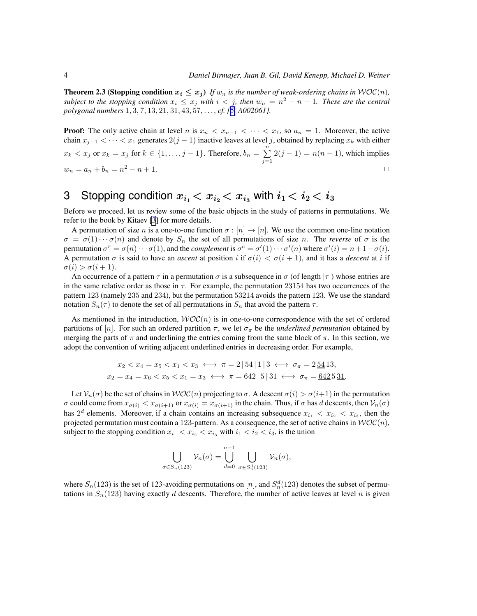<span id="page-3-0"></span>**Theorem 2.3 (Stopping condition**  $x_i \leq x_j$ ) If  $w_n$  is the number of weak-ordering chains in  $WOC(n)$ , *subject to the stopping condition*  $x_i \leq x_j$  *with*  $i < j$ *, then*  $w_n = n^2 - n + 1$ *. These are the central polygonal numbers* 1, 3, 7, 13, 21, 31, 43, 57, . . ., *cf. [[5,](#page-15-0) A002061].*

**Proof:** The only active chain at level n is  $x_n < x_{n-1} < \cdots < x_1$ , so  $a_n = 1$ . Moreover, the active chain  $x_{j-1} < \cdots < x_1$  generates  $2(j-1)$  inactive leaves at level j, obtained by replacing  $x_k$  with either  $x_k < x_j$  or  $x_k = x_j$  for  $k \in \{1, \ldots, j-1\}$ . Therefore,  $b_n = \sum_{i=1}^n$  $\sum_{j=1}^{n} 2(j-1) = n(n-1)$ , which implies  $w_n = a_n + b_n = n^2 - n + 1.$  $2-n+1.$ 

# 3 Stopping condition  $x_{i_1} < x_{i_2} < x_{i_3}$  with  $i_1 < i_2 < i_3$

Before we proceed, let us review some of the basic objects in the study of patterns in permutations. We refer to the book by Kitaev [\[3](#page-15-0)] for more details.

A permutation of size n is a one-to-one function  $\sigma : [n] \to [n]$ . We use the common one-line notation  $\sigma = \sigma(1) \cdots \sigma(n)$  and denote by  $S_n$  the set of all permutations of size n. The *reverse* of  $\sigma$  is the permutation  $\sigma^r = \sigma(n) \cdots \sigma(1)$ , and the *complement* is  $\sigma^c = \sigma'(1) \cdots \sigma'(n)$  where  $\sigma'(i) = n + 1 - \sigma(i)$ . A permutation  $\sigma$  is said to have an *ascent* at position i if  $\sigma(i) < \sigma(i+1)$ , and it has a *descent* at i if  $\sigma(i) > \sigma(i+1).$ 

An occurrence of a pattern  $\tau$  in a permutation  $\sigma$  is a subsequence in  $\sigma$  (of length  $|\tau|$ ) whose entries are in the same relative order as those in  $\tau$ . For example, the permutation 23154 has two occurrences of the pattern 123 (namely 235 and 234), but the permutation 53214 avoids the pattern 123. We use the standard notation  $S_n(\tau)$  to denote the set of all permutations in  $S_n$  that avoid the pattern  $\tau$ .

As mentioned in the introduction,  $WOC(n)$  is in one-to-one correspondence with the set of ordered partitions of [n]. For such an ordered partition  $\pi$ , we let  $\sigma_{\pi}$  be the *underlined permutation* obtained by merging the parts of  $\pi$  and underlining the entries coming from the same block of  $\pi$ . In this section, we adopt the convention of writing adjacent underlined entries in decreasing order. For example,

$$
x_2 < x_4 = x_5 < x_1 < x_3 < \rightarrow \pi = 2 \mid 54 \mid 1 \mid 3 < \rightarrow \sigma_{\pi} = 2 \cdot 54 \cdot 13,
$$
\n
$$
x_2 = x_4 = x_6 < x_5 < x_1 = x_3 < \rightarrow \pi = 642 \mid 5 \mid 31 < \rightarrow \sigma_{\pi} = 642 \cdot 5 \cdot 31.
$$

Let  $V_n(\sigma)$  be the set of chains in  $WOC(n)$  projecting to  $\sigma$ . A descent  $\sigma(i) > \sigma(i+1)$  in the permutation  $\sigma$  could come from  $x_{\sigma(i)} < x_{\sigma(i+1)}$  or  $x_{\sigma(i)} = x_{\sigma(i+1)}$  in the chain. Thus, if  $\sigma$  has d descents, then  $V_n(\sigma)$ has  $2^d$  elements. Moreover, if a chain contains an increasing subsequence  $x_{i_1} < x_{i_2} < x_{i_3}$ , then the projected permutation must contain a 123-pattern. As a consequence, the set of active chains in  $WOC(n)$ , subject to the stopping condition  $x_{i_1} < x_{i_2} < x_{i_3}$  with  $i_1 < i_2 < i_3$ , is the union

$$
\bigcup_{\sigma \in S_n(123)} \mathcal{V}_n(\sigma) = \bigcup_{d=0}^{n-1} \bigcup_{\sigma \in S_n^d(123)} \mathcal{V}_n(\sigma),
$$

where  $S_n(123)$  is the set of 123-avoiding permutations on [n], and  $S_n^d(123)$  denotes the subset of permutations in  $S_n(123)$  having exactly d descents. Therefore, the number of active leaves at level n is given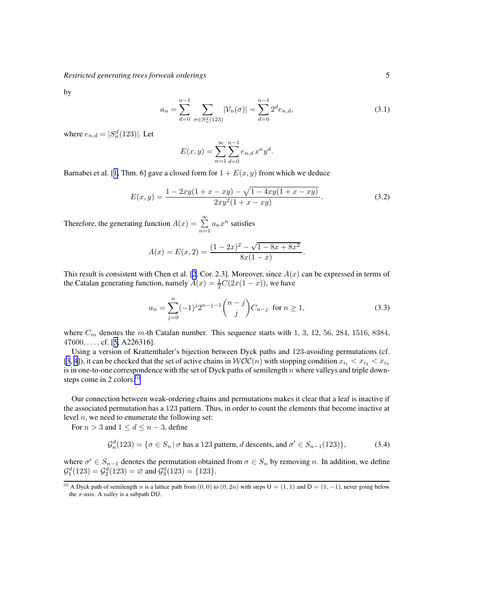<span id="page-4-0"></span>by

$$
a_n = \sum_{d=0}^{n-1} \sum_{\sigma \in S_n^d(123)} |\mathcal{V}_n(\sigma)| = \sum_{d=0}^{n-1} 2^d e_{n,d},
$$
\n(3.1)

where  $e_{n,d} = |S_n^d(123)|$ . Let

$$
E(x, y) = \sum_{n=1}^{\infty} \sum_{d=0}^{n-1} e_{n,d} x^n y^d.
$$

Barnabei et al. [[1,](#page-15-0) Thm. 6] gave a closed form for  $1 + E(x, y)$  from which we deduce

$$
E(x,y) = \frac{1 - 2xy(1 + x - xy) - \sqrt{1 - 4xy(1 + x - xy)}}{2xy^2(1 + x - xy)}.
$$
\n(3.2)

Therefore, the generating function  $A(x) = \sum_{n=1}^{\infty} a_n x^n$  satisfies

$$
A(x) = E(x, 2) = \frac{(1 - 2x)^2 - \sqrt{1 - 8x + 8x^2}}{8x(1 - x)}.
$$

This result is consistent with Chen et al. [\[2](#page-15-0), Cor. 2.3]. Moreover, since  $A(x)$  can be expressed in terms of the Catalan generating function, namely  $A(x) = \frac{1}{2}C(2x(1-x))$ , we have

$$
a_n = \sum_{j=0}^n (-1)^j 2^{n-j-1} \binom{n-j}{j} C_{n-j} \text{ for } n \ge 1,
$$
 (3.3)

where  $C_m$  denotes the m-th Catalan number. This sequence starts with 1, 3, 12, 56, 284, 1516, 8384,  $47600, \ldots$ , cf. [[5,](#page-15-0) A226316].

Using a version of Krattenthaler's bijection between Dyck paths and 123-avoiding permutations (cf. [\[3](#page-15-0), [4\]](#page-15-0)), it can be checked that the set of active chains in  $WOC(n)$  with stopping condition  $x_{i_1} < x_{i_2} < x_{i_3}$ is in one-to-one correspondence with the set of Dyck paths of semilength  $n$  where valleys and triple downsteps come in 2 colors. $(i)$ 

Our connection between weak-ordering chains and permutations makes it clear that a leaf is inactive if the associated permutation has a 123 pattern. Thus, in order to count the elements that become inactive at level  $n$ , we need to enumerate the following set:

For  $n > 3$  and  $1 \le d \le n - 3$ , define

$$
\mathcal{G}_n^d(123) = \{ \sigma \in S_n \, | \, \sigma \text{ has a 123 pattern, } d \text{ descents, and } \sigma' \in S_{n-1}(123) \},\tag{3.4}
$$

where  $\sigma' \in S_{n-1}$  denotes the permutation obtained from  $\sigma \in S_n$  by removing n. In addition, we define  $\mathcal{G}_1^d(123) = \mathcal{G}_2^d(123) = \emptyset$  and  $\mathcal{G}_3^0(123) = \{123\}.$ 

<sup>(</sup>i) A Dyck path of semilength n is a lattice path from  $(0, 0)$  to  $(0, 2n)$  with steps  $U = (1, 1)$  and  $D = (1, -1)$ , never going below the x-axis. A *valley* is a subpath DU.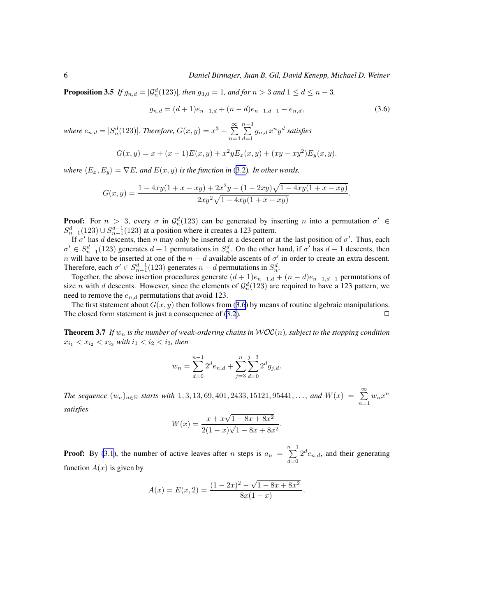<span id="page-5-0"></span>**Proposition 3.5** If  $g_{n,d} = |\mathcal{G}_n^d(123)|$ , then  $g_{3,0} = 1$ , and for  $n > 3$  and  $1 \le d \le n - 3$ ,

$$
g_{n,d} = (d+1)e_{n-1,d} + (n-d)e_{n-1,d-1} - e_{n,d},
$$
\n(3.6)

where  $e_{n,d} = |S_n^d(123)|$ *. Therefore,*  $G(x, y) = x^3 + \sum_{n=1}^{\infty}$  $n=4$  $\sum_{ }^{n-3}$  $\sum_{d=1} g_{n,d} x^n y^d$  satisfies

$$
G(x,y) = x + (x - 1)E(x,y) + x^2yE_x(x,y) + (xy - xy^2)E_y(x,y).
$$

*where*  $\langle E_x, E_y \rangle = \nabla E$ *, and*  $E(x, y)$  *is the function in* [\(3.2\)](#page-4-0)*. In other words,* 

$$
G(x,y) = \frac{1 - 4xy(1 + x - xy) + 2x^2y - (1 - 2xy)\sqrt{1 - 4xy(1 + x - xy)}}{2xy^2\sqrt{1 - 4xy(1 + x - xy)}}.
$$

**Proof:** For  $n > 3$ , every  $\sigma$  in  $\mathcal{G}_n^d(123)$  can be generated by inserting n into a permutation  $\sigma' \in \mathcal{G}_n^d$  $S_{n-1}^d(123) \cup S_{n-1}^{d-1}(123)$  at a position where it creates a 123 pattern.

If  $\sigma'$  has d descents, then n may only be inserted at a descent or at the last position of  $\sigma'$ . Thus, each  $\sigma' \in S_{n-1}^d(123)$  generates  $d+1$  permutations in  $S_n^d$ . On the other hand, if  $\sigma'$  has  $d-1$  descents, then  $n$  will have to be inserted at one of the  $n - d$  available ascents of  $\sigma'$  in order to create an extra descent. Therefore, each  $\sigma' \in S_{n-1}^{d-1}(123)$  generates  $n-d$  permutations in  $S_n^d$ .

Together, the above insertion procedures generate  $(d + 1)e_{n-1,d} + (n - d)e_{n-1,d-1}$  permutations of size *n* with *d* descents. However, since the elements of  $\mathcal{G}_n^d(123)$  are required to have a 123 pattern, we need to remove the  $e_{n,d}$  permutations that avoid 123.

The first statement about  $G(x, y)$  then follows from (3.6) by means of routine algebraic manipulations. The closed form statement is just a consequence of  $(3.2)$  $(3.2)$  $(3.2)$ .  $\Box$ 

**Theorem 3.7** *If*  $w_n$  *is the number of weak-ordering chains in*  $WOC(n)$ *, subject to the stopping condition*  $x_{i_1} < x_{i_2} < x_{i_3}$  with  $i_1 < i_2 < i_3$ , then

$$
w_n = \sum_{d=0}^{n-1} 2^d e_{n,d} + \sum_{j=3}^n \sum_{d=0}^{j-3} 2^d g_{j,d}.
$$

*The sequence*  $(w_n)_{n \in \mathbb{N}}$  *starts with* 1, 3, 13, 69, 401, 2433, 15121, 95441, ..., and  $W(x) = \sum_{n=1}^{\infty} w_n x^n$ *satisfies*

$$
W(x) = \frac{x + x\sqrt{1 - 8x + 8x^2}}{2(1 - x)\sqrt{1 - 8x + 8x^2}}.
$$

**Proof:** By [\(3.1](#page-4-0)), the number of active leaves after *n* steps is  $a_n = \sum_{n=1}^{n-1}$  $d=0$  $2^d e_{n,d}$ , and their generating function  $A(x)$  is given by

$$
A(x) = E(x, 2) = \frac{(1 - 2x)^2 - \sqrt{1 - 8x + 8x^2}}{8x(1 - x)}.
$$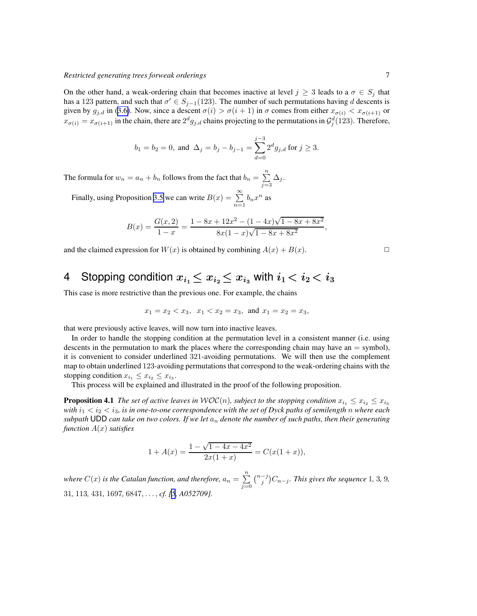<span id="page-6-0"></span>On the other hand, a weak-ordering chain that becomes inactive at level  $j \geq 3$  leads to a  $\sigma \in S_j$  that has a 123 pattern, and such that  $\sigma' \in S_{j-1}(123)$ . The number of such permutations having d descents is given by  $g_{j,d}$  in ([3.6\)](#page-5-0). Now, since a descent  $\sigma(i) > \sigma(i+1)$  in  $\sigma$  comes from either  $x_{\sigma(i)} < x_{\sigma(i+1)}$  or  $x_{\sigma(i)} = x_{\sigma(i+1)}$  in the chain, there are  $2^d g_{j,d}$  chains projecting to the permutations in  $\mathcal{G}_j^d(123)$ . Therefore,

$$
b_1 = b_2 = 0
$$
, and  $\Delta_j = b_j - b_{j-1} = \sum_{d=0}^{j-3} 2^d g_{j,d}$  for  $j \ge 3$ .

The formula for  $w_n = a_n + b_n$  follows from the fact that  $b_n = \sum_{n=1}^{n} a_n$  $\sum_{j=3} \Delta_j$ .

Finally, using Proposition [3.5](#page-4-0) we can write  $B(x) = \sum_{n=1}^{\infty} b_n x^n$  as

$$
B(x) = \frac{G(x, 2)}{1 - x} = \frac{1 - 8x + 12x^2 - (1 - 4x)\sqrt{1 - 8x + 8x^2}}{8x(1 - x)\sqrt{1 - 8x + 8x^2}},
$$

and the claimed expression for  $W(x)$  is obtained by combining  $A(x) + B(x)$ .

# 4 Stopping condition  $x_{i_1} \leq x_{i_2} \leq x_{i_3}$  with  $i_1 < i_2 < i_3$

This case is more restrictive than the previous one. For example, the chains

$$
x_1=x_2
$$

that were previously active leaves, will now turn into inactive leaves.

In order to handle the stopping condition at the permutation level in a consistent manner (i.e. using descents in the permutation to mark the places where the corresponding chain may have an  $=$  symbol), it is convenient to consider underlined 321-avoiding permutations. We will then use the complement map to obtain underlined 123-avoiding permutations that correspond to the weak-ordering chains with the stopping condition  $x_{i_1} \leq x_{i_2} \leq x_{i_3}$ .

This process will be explained and illustrated in the proof of the following proposition.

**Proposition 4.1** *The set of active leaves in*  $WOC(n)$ *, subject to the stopping condition*  $x_{i_1} \le x_{i_2} \le x_{i_3}$ *with*  $i_1 < i_2 < i_3$ , is in one-to-one correspondence with the set of Dyck paths of semilength n where each *subpath* UDD can take on two colors. If we let  $a_n$  denote the number of such paths, then their generating *function* A(x) *satisfies*

$$
1 + A(x) = \frac{1 - \sqrt{1 - 4x - 4x^2}}{2x(1 + x)} = C(x(1 + x)),
$$

where  $C(x)$  is the Catalan function, and therefore,  $a_n=\sum\limits_{i=1}^n a_i$  $j=0$  $\binom{n-j}{j}C_{n-j}$ . This gives the sequence 1, 3, 9, 31*,* 113*,* 431*,* 1697*,* 6847, . . . , *cf. [\[5](#page-15-0), A052709].*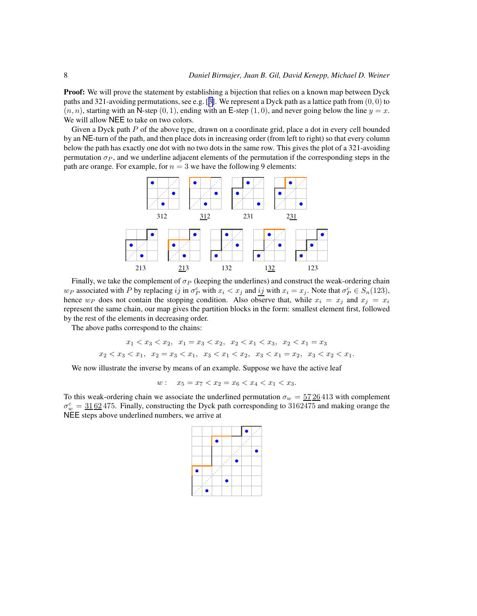**Proof:** We will prove the statement by establishing a bijection that relies on a known map between Dyck paths and 321-avoiding permutations, see e.g. [[3\]](#page-15-0). We represent a Dyck path as a lattice path from  $(0, 0)$  to  $(n, n)$ , starting with an N-step  $(0, 1)$ , ending with an E-step  $(1, 0)$ , and never going below the line  $y = x$ . We will allow NEE to take on two colors.

Given a Dyck path  $P$  of the above type, drawn on a coordinate grid, place a dot in every cell bounded by an NE-turn of the path, and then place dots in increasing order (from left to right) so that every column below the path has exactly one dot with no two dots in the same row. This gives the plot of a 321-avoiding permutation  $\sigma_P$ , and we underline adjacent elements of the permutation if the corresponding steps in the path are orange. For example, for  $n = 3$  we have the following 9 elements:



Finally, we take the complement of  $\sigma_P$  (keeping the underlines) and construct the weak-ordering chain  $w_P$  associated with P by replacing ij in  $\sigma_P^c$  with  $x_i < x_j$  and ij with  $x_i = x_j$ . Note that  $\sigma_P^c \in S_n(123)$ , hence  $w_P$  does not contain the stopping condition. Also observe that, while  $x_i = x_j$  and  $x_j = x_i$ represent the same chain, our map gives the partition blocks in the form: smallest element first, followed by the rest of the elements in decreasing order.

The above paths correspond to the chains:

$$
x_1 < x_3 < x_2, \quad x_1 = x_3 < x_2, \quad x_2 < x_1 < x_3, \quad x_2 < x_1 = x_3
$$
\n
$$
x_2 < x_3 < x_1, \quad x_2 = x_3 < x_1, \quad x_3 < x_1 < x_2, \quad x_3 < x_1 = x_2, \quad x_3 < x_2 < x_1.
$$

We now illustrate the inverse by means of an example. Suppose we have the active leaf

 $w: x_5 = x_7 < x_2 = x_6 < x_4 < x_1 < x_3.$ 

To this weak-ordering chain we associate the underlined permutation  $\sigma_w = 5726413$  with complement  $\sigma_w^c = 3162475$ . Finally, constructing the Dyck path corresponding to 3162475 and making orange the NEE steps above underlined numbers, we arrive at

|   |   |        |   |   |   | ä |
|---|---|--------|---|---|---|---|
|   |   |        |   |   | ۰ |   |
|   |   |        |   | ٠ |   |   |
|   |   |        | ä |   |   |   |
|   |   | ï<br>ä |   |   |   |   |
|   | ä |        |   |   |   |   |
| ۰ |   |        |   |   |   |   |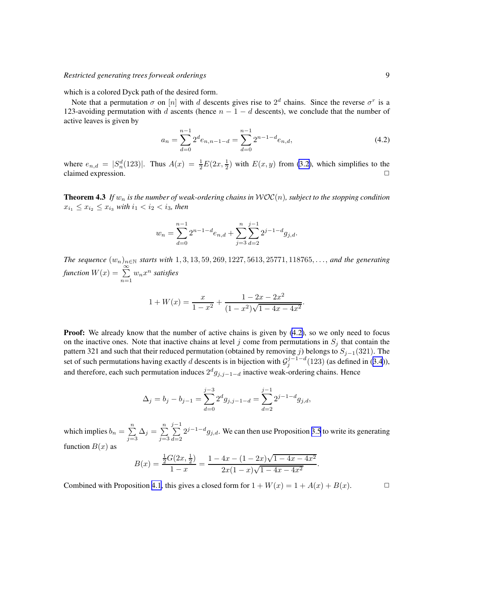which is a colored Dyck path of the desired form.

Note that a permutation  $\sigma$  on  $[n]$  with d descents gives rise to  $2^d$  chains. Since the reverse  $\sigma^r$  is a 123-avoiding permutation with d ascents (hence  $n - 1 - d$  descents), we conclude that the number of active leaves is given by

$$
a_n = \sum_{d=0}^{n-1} 2^d e_{n,n-1-d} = \sum_{d=0}^{n-1} 2^{n-1-d} e_{n,d},
$$
\n(4.2)

where  $e_{n,d} = |S_n^d(123)|$ . Thus  $A(x) = \frac{1}{2}E(2x, \frac{1}{2})$  with  $E(x, y)$  from [\(3.2\)](#page-4-0), which simplifies to the claimed expression.

**Theorem 4.3** If  $w_n$  is the number of weak-ordering chains in  $\mathcal{WOC}(n)$ , subject to the stopping condition  $x_{i_1} \leq x_{i_2} \leq x_{i_3}$  *with*  $i_1 < i_2 < i_3$ *, then* 

$$
w_n = \sum_{d=0}^{n-1} 2^{n-1-d} e_{n,d} + \sum_{j=3}^n \sum_{d=2}^{j-1} 2^{j-1-d} g_{j,d}.
$$

*The sequence*  $(w_n)_{n \in \mathbb{N}}$  *starts with* 1, 3, 13, 59, 269, 1227, 5613, 25771, 118765, ..., *and the generating function*  $W(x) = \sum_{n=1}^{\infty} w_n x^n$  *satisfies* 

$$
1 + W(x) = \frac{x}{1 - x^2} + \frac{1 - 2x - 2x^2}{(1 - x^2)\sqrt{1 - 4x - 4x^2}}.
$$

**Proof:** We already know that the number of active chains is given by (4.2), so we only need to focus on the inactive ones. Note that inactive chains at level j come from permutations in  $S_i$  that contain the pattern 321 and such that their reduced permutation (obtained by removing j) belongs to  $S_{j-1}(321)$ . The set of such permutations having exactly d descents is in bijection with  $\mathcal{G}_j^{j-1-d}(123)$  (as defined in ([3.4](#page-4-0))), and therefore, each such permutation induces  $2^d g_{j,j-1-d}$  inactive weak-ordering chains. Hence

$$
\Delta_j = b_j - b_{j-1} = \sum_{d=0}^{j-3} 2^d g_{j,j-1-d} = \sum_{d=2}^{j-1} 2^{j-1-d} g_{j,d},
$$

which implies  $b_n = \sum_{n=1}^n$  $\sum_{j=3}^{n} \Delta_j = \sum_{j=3}^{n}$  $j=3$  $\sum^{j-1}$  $d=2$  $2^{j-1-d}$  $g_{j,d}$ . We can then use Proposition [3.5](#page-4-0) to write its generating function  $B(x)$  as

$$
B(x) = \frac{\frac{1}{2}G(2x, \frac{1}{2})}{1-x} = \frac{1-4x - (1-2x)\sqrt{1-4x-4x^2}}{2x(1-x)\sqrt{1-4x-4x^2}}.
$$

Combined with Proposition [4.1](#page-6-0), this gives a closed form for  $1 + W(x) = 1 + A(x) + B(x)$ .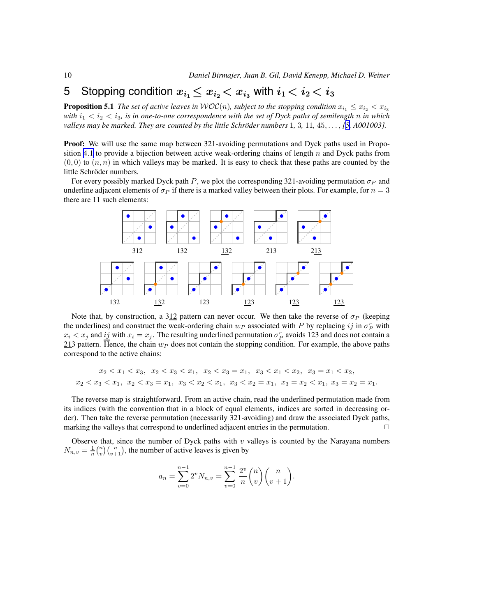## <span id="page-9-0"></span>5 Stopping condition  $x_{i_1} \leq x_{i_2} < x_{i_3}$  with  $i_1 < i_2 < i_3$

**Proposition 5.1** *The set of active leaves in*  $WOC(n)$ *, subject to the stopping condition*  $x_{i_1} \leq x_{i_2} < x_{i_3}$ *with*  $i_1 < i_2 < i_3$ , is in one-to-one correspondence with the set of Dyck paths of semilength n in which *valleys may be marked. They are counted by the little Schröder numbers*  $1, 3, 11, 45, \ldots$  $1, 3, 11, 45, \ldots$  $1, 3, 11, 45, \ldots$ ,  $[5, A001003]$ .

Proof: We will use the same map between 321-avoiding permutations and Dyck paths used in Propo-sition [4.1](#page-6-0) to provide a bijection between active weak-ordering chains of length  $n$  and Dyck paths from  $(0, 0)$  to  $(n, n)$  in which valleys may be marked. It is easy to check that these paths are counted by the little Schröder numbers.

For every possibly marked Dyck path P, we plot the corresponding 321-avoiding permutation  $\sigma_P$  and underline adjacent elements of  $\sigma_P$  if there is a marked valley between their plots. For example, for  $n = 3$ there are 11 such elements:



Note that, by construction, a 312 pattern can never occur. We then take the reverse of  $\sigma_P$  (keeping the underlines) and construct the weak-ordering chain  $w_P$  associated with P by replacing ij in  $\sigma_P^r$  with  $x_i < x_j$  and  $\underline{ij}$  with  $x_i = x_j$ . The resulting underlined permutation  $\sigma_P^r$  avoids 123 and does not contain a 213 pattern. Hence, the chain  $w_P$  does not contain the stopping condition. For example, the above paths correspond to the active chains:

$$
x_2 < x_1 < x_3, \quad x_2 < x_3 < x_1, \quad x_2 < x_3 = x_1, \quad x_3 < x_1 < x_2, \quad x_3 = x_1 < x_2, \\
x_2 < x_3 < x_1, \quad x_2 < x_3 = x_1, \quad x_3 < x_2 < x_1, \quad x_3 < x_2 = x_1, \quad x_3 = x_2 < x_1, \quad x_3 = x_2 = x_1.
$$

The reverse map is straightforward. From an active chain, read the underlined permutation made from its indices (with the convention that in a block of equal elements, indices are sorted in decreasing order). Then take the reverse permutation (necessarily 321-avoiding) and draw the associated Dyck paths, marking the valleys that correspond to underlined adjacent entries in the permutation.  $\Box$ 

Observe that, since the number of Dyck paths with  $v$  valleys is counted by the Narayana numbers  $N_{n,v} = \frac{1}{n} {n \choose v} {n \choose v+1}$ , the number of active leaves is given by

$$
a_n = \sum_{v=0}^{n-1} 2^v N_{n,v} = \sum_{v=0}^{n-1} \frac{2^v}{n} \binom{n}{v} \binom{n}{v+1}.
$$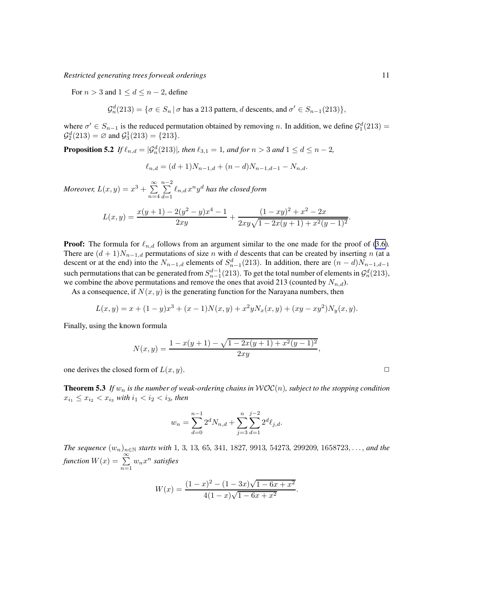For  $n > 3$  and  $1 \le d \le n - 2$ , define

$$
\mathcal{G}_n^d(213) = \{ \sigma \in S_n \mid \sigma \text{ has a 213 pattern, } d \text{ descents, and } \sigma' \in S_{n-1}(213) \},
$$

where  $\sigma' \in S_{n-1}$  is the reduced permutation obtained by removing n. In addition, we define  $\mathcal{G}_1^d(213) =$  $\mathcal{G}_2^d(213) = \emptyset$  and  $\mathcal{G}_3^1(213) = \{213\}.$ 

**Proposition 5.2** If  $\ell_{n,d} = |\mathcal{G}_n^d(213)|$ , then  $\ell_{3,1} = 1$ , and for  $n > 3$  and  $1 \leq d \leq n - 2$ ,

$$
\ell_{n,d} = (d+1)N_{n-1,d} + (n-d)N_{n-1,d-1} - N_{n,d}.
$$

*Moreover,*  $L(x, y) = x^3 + \sum_{n=1}^{\infty}$  $n=4$  $\sum_{ }^{n-2}$  $\sum_{d=1} \ell_{n,d} x^n y^d$  has the closed form  $L(x,y) = \frac{x(y+1) - 2(y^2 - y)x^4 - 1}{2}$  $\frac{2(y^2-y)x^4-1}{2xy} + \frac{(1-xy)^2+x^2-2x}{2xy\sqrt{1-2x(y+1)+x^2(y+1)}}$  $\frac{(1 - xy)^{y} + x^2 - 2x}{2xy\sqrt{1 - 2x(y+1) + x^2(y-1)^2}}.$ 

**Proof:** The formula for  $\ell_{n,d}$  follows from an argument similar to the one made for the proof of [\(3.6\)](#page-5-0). There are  $(d+1)N_{n-1,d}$  permutations of size n with d descents that can be created by inserting n (at a descent or at the end) into the  $N_{n-1,d}$  elements of  $S_{n-1}^d(213)$ . In addition, there are  $(n-d)N_{n-1,d-1}$ such permutations that can be generated from  $S_{n-1}^{d-1}(213)$ . To get the total number of elements in  $\mathcal{G}_n^d(213)$ , we combine the above permutations and remove the ones that avoid 213 (counted by  $N_{n,d}$ ).

As a consequence, if  $N(x, y)$  is the generating function for the Narayana numbers, then

$$
L(x,y) = x + (1 - y)x^{3} + (x - 1)N(x,y) + x^{2}yN_{x}(x,y) + (xy - xy^{2})N_{y}(x,y).
$$

Finally, using the known formula

$$
N(x,y) = \frac{1 - x(y+1) - \sqrt{1 - 2x(y+1) + x^2(y-1)^2}}{2xy},
$$

one derives the closed form of  $L(x, y)$ .

**Theorem 5.3** *If*  $w_n$  *is the number of weak-ordering chains in*  $WOC(n)$ *, subject to the stopping condition*  $x_{i_1} \leq x_{i_2} < x_{i_3}$  with  $i_1 < i_2 < i_3$ , then

$$
w_n = \sum_{d=0}^{n-1} 2^d N_{n,d} + \sum_{j=3}^n \sum_{d=1}^{j-2} 2^d \ell_{j,d}.
$$

*The sequence* (wn)n∈<sup>N</sup> *starts with* 1*,* 3*,* 13*,* 65*,* 341*,* 1827*,* 9913*,* 54273*,* 299209*,* 1658723, . . ., *and the function*  $W(x) = \sum_{n=1}^{\infty} w_n x^n$  *satisfies* 

$$
W(x) = \frac{(1-x)^2 - (1-3x)\sqrt{1-6x+x^2}}{4(1-x)\sqrt{1-6x+x^2}}.
$$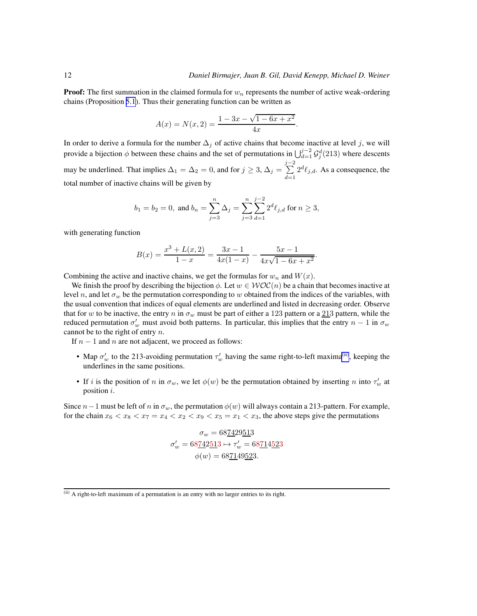.

**Proof:** The first summation in the claimed formula for  $w_n$  represents the number of active weak-ordering chains (Proposition [5.1](#page-9-0)). Thus their generating function can be written as

$$
A(x) = N(x, 2) = \frac{1 - 3x - \sqrt{1 - 6x + x^2}}{4x}.
$$

In order to derive a formula for the number  $\Delta_i$  of active chains that become inactive at level j, we will provide a bijection  $\phi$  between these chains and the set of permutations in  $\bigcup_{d=1}^{j-2} \mathcal{G}_j^d(213)$  where descents may be underlined. That implies  $\Delta_1 = \Delta_2 = 0$ , and for  $j \geq 3$ ,  $\Delta_j = \sum_{i=1}^{j-2}$  $d=1$  $2^d \ell_{j,d}$ . As a consequence, the total number of inactive chains will be given by

$$
b_1=b_2=0, \text{ and } b_n=\sum_{j=3}^n\Delta_j=\sum_{j=3}^n\sum_{d=1}^{j-2}2^d\ell_{j,d} \text{ for } n\geq 3,
$$

with generating function

$$
B(x) = \frac{x^3 + L(x, 2)}{1 - x} = \frac{3x - 1}{4x(1 - x)} - \frac{5x - 1}{4x\sqrt{1 - 6x + x^2}}
$$

Combining the active and inactive chains, we get the formulas for  $w_n$  and  $W(x)$ .

We finish the proof by describing the bijection  $\phi$ . Let  $w \in \mathcal{WOC}(n)$  be a chain that becomes inactive at level n, and let  $\sigma_w$  be the permutation corresponding to w obtained from the indices of the variables, with the usual convention that indices of equal elements are underlined and listed in decreasing order. Observe that for w to be inactive, the entry n in  $\sigma_w$  must be part of either a 123 pattern or a 213 pattern, while the reduced permutation  $\sigma'_w$  must avoid both patterns. In particular, this implies that the entry  $n-1$  in  $\sigma_w$ cannot be to the right of entry  $n$ .

If  $n - 1$  and n are not adjacent, we proceed as follows:

- Map  $\sigma'_w$  to the 213-avoiding permutation  $\tau'_w$  having the same right-to-left maxima<sup>(ii)</sup>, keeping the underlines in the same positions.
- If i is the position of n in  $\sigma_w$ , we let  $\phi(w)$  be the permutation obtained by inserting n into  $\tau'_w$  at position i.

Since  $n-1$  must be left of n in  $\sigma_w$ , the permutation  $\phi(w)$  will always contain a 213-pattern. For example, for the chain  $x_6 < x_8 < x_7 = x_4 < x_2 < x_9 < x_5 = x_1 < x_3$ , the above steps give the permutations

$$
\sigma_w = 68 \underline{7} 429 \underline{5} 13
$$

$$
\sigma'_w = 68 \underline{7} 42 \underline{5} 13 \mapsto \tau'_w = 68 \underline{7} 14 \underline{5} 23
$$

$$
\phi(w) = 68 \underline{7} 149 \underline{5} 23.
$$

 $\overline{f}$ <sup>(ii)</sup> A right-to-left maximum of a permutation is an entry with no larger entries to its right.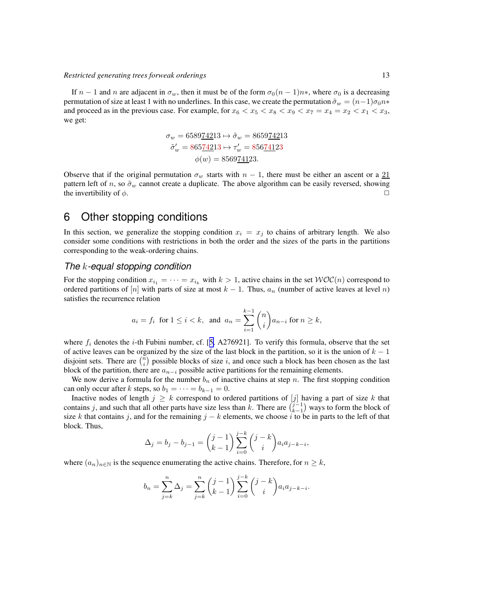<span id="page-12-0"></span>If  $n-1$  and n are adjacent in  $\sigma_w$ , then it must be of the form  $\sigma_0(n-1)n*$ , where  $\sigma_0$  is a decreasing permutation of size at least 1 with no underlines. In this case, we create the permutation  $\tilde{\sigma}_w = (n-1)\sigma_0 n *$ and proceed as in the previous case. For example, for  $x_6 < x_5 < x_8 < x_9 < x_7 = x_4 = x_2 < x_1 < x_3$ , we get:

$$
\sigma_w = 658974213 \mapsto \tilde{\sigma}_w = 865974213
$$

$$
\tilde{\sigma}'_w = 86574213 \mapsto \tau'_w = 85674123
$$

$$
\phi(w) = 856974123.
$$

Observe that if the original permutation  $\sigma_w$  starts with  $n-1$ , there must be either an ascent or a  $21$ pattern left of n, so  $\tilde{\sigma}_w$  cannot create a duplicate. The above algorithm can be easily reversed, showing the invertibility of  $\phi$ .

### 6 Other stopping conditions

In this section, we generalize the stopping condition  $x_i = x_j$  to chains of arbitrary length. We also consider some conditions with restrictions in both the order and the sizes of the parts in the partitions corresponding to the weak-ordering chains.

### *The* k*-equal stopping condition*

For the stopping condition  $x_{i_1} = \cdots = x_{i_k}$  with  $k > 1$ , active chains in the set  $WOC(n)$  correspond to ordered partitions of [n] with parts of size at most  $k - 1$ . Thus,  $a_n$  (number of active leaves at level n) satisfies the recurrence relation

$$
a_i = f_i \text{ for } 1 \le i < k, \text{ and } a_n = \sum_{i=1}^{k-1} \binom{n}{i} a_{n-i} \text{ for } n \ge k,
$$

where  $f_i$  denotes the *i*-th Fubini number, cf. [[5,](#page-15-0) A276921]. To verify this formula, observe that the set of active leaves can be organized by the size of the last block in the partition, so it is the union of  $k - 1$ disjoint sets. There are  $\binom{n}{i}$  possible blocks of size i, and once such a block has been chosen as the last block of the partition, there are  $a_{n-i}$  possible active partitions for the remaining elements.

We now derive a formula for the number  $b_n$  of inactive chains at step n. The first stopping condition can only occur after k steps, so  $b_1 = \cdots = b_{k-1} = 0$ .

Inactive nodes of length  $j \geq k$  correspond to ordered partitions of  $[j]$  having a part of size k that contains j, and such that all other parts have size less than k. There are  $(j-1)$  ways to form the block of size k that contains j, and for the remaining  $j - k$  elements, we choose i to be in parts to the left of that block. Thus,

$$
\Delta_j = b_j - b_{j-1} = {j-1 \choose k-1} \sum_{i=0}^{j-k} {j-k \choose i} a_i a_{j-k-i},
$$

where  $(a_n)_{n\in\mathbb{N}}$  is the sequence enumerating the active chains. Therefore, for  $n \geq k$ ,

$$
b_n = \sum_{j=k}^n \Delta_j = \sum_{j=k}^n {j-1 \choose k-1} \sum_{i=0}^{j-k} {j-k \choose i} a_i a_{j-k-i}.
$$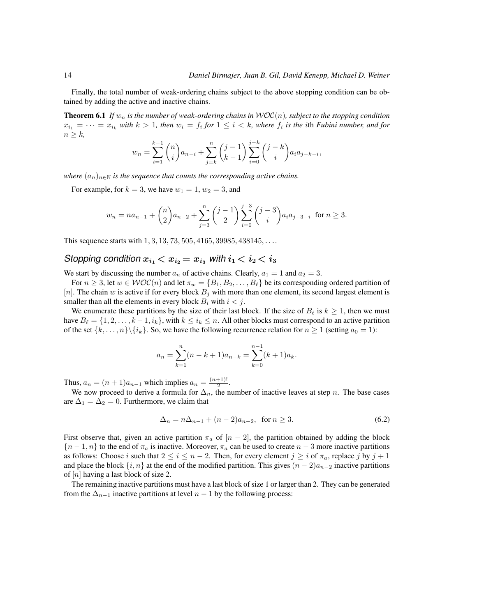<span id="page-13-0"></span>Finally, the total number of weak-ordering chains subject to the above stopping condition can be obtained by adding the active and inactive chains.

**Theorem 6.1** *If*  $w_n$  *is the number of weak-ordering chains in*  $WOC(n)$ *, subject to the stopping condition*  $x_{i_1} = \cdots = x_{i_k}$  with  $k > 1$ , then  $w_i = f_i$  for  $1 \leq i < k$ , where  $f_i$  is the ith *Fubini number, and for*  $n \geq k$ ,

$$
w_n = \sum_{i=1}^{k-1} {n \choose i} a_{n-i} + \sum_{j=k}^{n} {j-1 \choose k-1} \sum_{i=0}^{j-k} {j-k \choose i} a_i a_{j-k-i},
$$

*where*  $(a_n)_{n\in\mathbb{N}}$  *is the sequence that counts the corresponding active chains.* 

For example, for  $k = 3$ , we have  $w_1 = 1$ ,  $w_2 = 3$ , and

$$
w_n = na_{n-1} + {n \choose 2} a_{n-2} + \sum_{j=3}^{n} {j-1 \choose 2} \sum_{i=0}^{j-3} {j-3 \choose i} a_i a_{j-3-i} \text{ for } n \ge 3.
$$

This sequence starts with  $1, 3, 13, 73, 505, 4165, 39985, 438145, \ldots$ 

### *Stopping condition*  $x_{i_1} < x_{i_2} = x_{i_3}$  *with*  $i_1 < i_2 < i_3$

We start by discussing the number  $a_n$  of active chains. Clearly,  $a_1 = 1$  and  $a_2 = 3$ .

For  $n \geq 3$ , let  $w \in \mathcal{WOC}(n)$  and let  $\pi_w = \{B_1, B_2, \ldots, B_\ell\}$  be its corresponding ordered partition of [n]. The chain w is active if for every block  $B_j$  with more than one element, its second largest element is smaller than all the elements in every block  $B_i$  with  $i < j$ .

We enumerate these partitions by the size of their last block. If the size of  $B_{\ell}$  is  $k \geq 1$ , then we must have  $B_\ell = \{1, 2, \ldots, k-1, i_k\}$ , with  $k \leq i_k \leq n$ . All other blocks must correspond to an active partition of the set  $\{k, \ldots, n\} \backslash \{i_k\}$ . So, we have the following recurrence relation for  $n \geq 1$  (setting  $a_0 = 1$ ):

$$
a_n = \sum_{k=1}^n (n - k + 1)a_{n-k} = \sum_{k=0}^{n-1} (k+1)a_k.
$$

Thus,  $a_n = (n+1)a_{n-1}$  which implies  $a_n = \frac{(n+1)!}{2}$  $\frac{+1)!}{2}$ .

We now proceed to derive a formula for  $\Delta_n$ , the number of inactive leaves at step n. The base cases are  $\Delta_1 = \Delta_2 = 0$ . Furthermore, we claim that

$$
\Delta_n = n\Delta_{n-1} + (n-2)a_{n-2}, \text{ for } n \ge 3. \tag{6.2}
$$

First observe that, given an active partition  $\pi_a$  of  $[n-2]$ , the partition obtained by adding the block  ${n-1, n}$  to the end of  $\pi_a$  is inactive. Moreover,  $\pi_a$  can be used to create  $n-3$  more inactive partitions as follows: Choose i such that  $2 \le i \le n-2$ . Then, for every element  $j \ge i$  of  $\pi_a$ , replace j by  $j + 1$ and place the block  $\{i, n\}$  at the end of the modified partition. This gives  $(n-2)a_{n-2}$  inactive partitions of  $[n]$  having a last block of size 2.

The remaining inactive partitions must have a last block of size 1 or larger than 2. They can be generated from the  $\Delta_{n-1}$  inactive partitions at level  $n-1$  by the following process: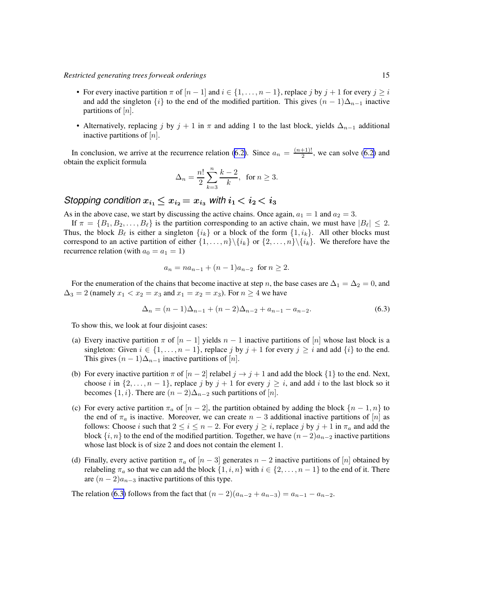- For every inactive partition  $\pi$  of  $[n-1]$  and  $i \in \{1, \ldots, n-1\}$ , replace j by  $j+1$  for every  $j \geq i$ and add the singleton  $\{i\}$  to the end of the modified partition. This gives  $(n - 1)\Delta_{n-1}$  inactive partitions of  $[n]$ .
- Alternatively, replacing j by j + 1 in  $\pi$  and adding 1 to the last block, yields  $\Delta_{n-1}$  additional inactive partitions of  $[n]$ .

In conclusion, we arrive at the recurrence relation [\(6.2\)](#page-13-0). Since  $a_n = \frac{(n+1)!}{2}$  $\frac{+1!}{2}$ , we can solve [\(6.2\)](#page-13-0) and obtain the explicit formula

$$
\Delta_n = \frac{n!}{2} \sum_{k=3}^n \frac{k-2}{k}, \text{ for } n \ge 3.
$$

*Stopping condition*  $x_{i_1} \leq x_{i_2} = x_{i_3}$  *with*  $i_1 < i_2 < i_3$ 

As in the above case, we start by discussing the active chains. Once again,  $a_1 = 1$  and  $a_2 = 3$ .

If  $\pi = \{B_1, B_2, \ldots, B_\ell\}$  is the partition corresponding to an active chain, we must have  $|B_\ell| \leq 2$ . Thus, the block  $B_{\ell}$  is either a singleton  $\{i_k\}$  or a block of the form  $\{1, i_k\}$ . All other blocks must correspond to an active partition of either  $\{1, \ldots, n\} \backslash \{i_k\}$  or  $\{2, \ldots, n\} \backslash \{i_k\}$ . We therefore have the recurrence relation (with  $a_0 = a_1 = 1$ )

$$
a_n = na_{n-1} + (n-1)a_{n-2} \text{ for } n \ge 2.
$$

For the enumeration of the chains that become inactive at step n, the base cases are  $\Delta_1 = \Delta_2 = 0$ , and  $\Delta_3 = 2$  (namely  $x_1 < x_2 = x_3$  and  $x_1 = x_2 = x_3$ ). For  $n \ge 4$  we have

$$
\Delta_n = (n-1)\Delta_{n-1} + (n-2)\Delta_{n-2} + a_{n-1} - a_{n-2}.
$$
\n(6.3)

To show this, we look at four disjoint cases:

- (a) Every inactive partition  $\pi$  of  $|n-1|$  yields  $n-1$  inactive partitions of  $|n|$  whose last block is a singleton: Given  $i \in \{1, \ldots, n-1\}$ , replace j by  $j + 1$  for every  $j \ge i$  and add  $\{i\}$  to the end. This gives  $(n-1)\Delta_{n-1}$  inactive partitions of [n].
- (b) For every inactive partition  $\pi$  of  $[n-2]$  relabel  $j \to j+1$  and add the block  $\{1\}$  to the end. Next, choose i in  $\{2, \ldots, n-1\}$ , replace j by  $j + 1$  for every  $j \geq i$ , and add i to the last block so it becomes  $\{1, i\}$ . There are  $(n-2)\Delta_{n-2}$  such partitions of  $[n]$ .
- (c) For every active partition  $\pi_a$  of  $[n-2]$ , the partition obtained by adding the block  $\{n-1, n\}$  to the end of  $\pi_a$  is inactive. Moreover, we can create  $n-3$  additional inactive partitions of [n] as follows: Choose i such that  $2 \le i \le n-2$ . For every  $j \ge i$ , replace j by  $j+1$  in  $\pi_a$  and add the block  $\{i, n\}$  to the end of the modified partition. Together, we have  $(n-2)a_{n-2}$  inactive partitions whose last block is of size 2 and does not contain the element 1.
- (d) Finally, every active partition  $\pi_a$  of  $[n-3]$  generates  $n-2$  inactive partitions of  $[n]$  obtained by relabeling  $\pi_a$  so that we can add the block  $\{1, i, n\}$  with  $i \in \{2, \ldots, n-1\}$  to the end of it. There are  $(n-2)a_{n-3}$  inactive partitions of this type.

The relation (6.3) follows from the fact that  $(n-2)(a_{n-2}+a_{n-3})=a_{n-1}-a_{n-2}$ .